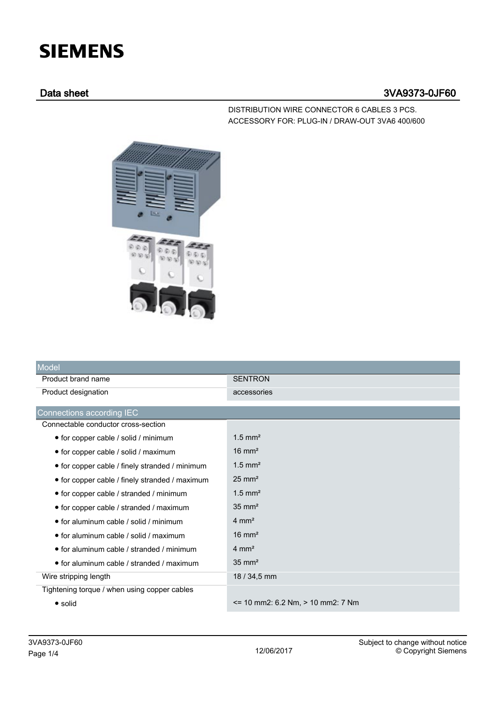# **SIEMENS**

## Data sheet 3VA9373-0JF60

DISTRIBUTION WIRE CONNECTOR 6 CABLES 3 PCS. ACCESSORY FOR: PLUG-IN / DRAW-OUT 3VA6 400/600



| Model                                          |                                        |
|------------------------------------------------|----------------------------------------|
| Product brand name                             | <b>SENTRON</b>                         |
| Product designation                            | accessories                            |
| Connections according IEC                      |                                        |
| Connectable conductor cross-section            |                                        |
| • for copper cable / solid / minimum           | $1.5$ mm <sup>2</sup>                  |
| • for copper cable / solid / maximum           | $16 \text{ mm}^2$                      |
| • for copper cable / finely stranded / minimum | $1.5$ mm <sup>2</sup>                  |
| • for copper cable / finely stranded / maximum | $25 \text{ mm}^2$                      |
| • for copper cable / stranded / minimum        | $1.5$ mm <sup>2</sup>                  |
| • for copper cable / stranded / maximum        | $35 \text{ mm}^2$                      |
| • for aluminum cable / solid / minimum         | $4 \text{ mm}^2$                       |
| $\bullet$ for aluminum cable / solid / maximum | $16 \text{ mm}^2$                      |
| • for aluminum cable / stranded / minimum      | $4 \text{ mm}^2$                       |
| • for aluminum cable / stranded / maximum      | $35 \text{ mm}^2$                      |
| Wire stripping length                          | 18 / 34,5 mm                           |
| Tightening torque / when using copper cables   |                                        |
| $\bullet$ solid                                | $\le$ 10 mm2: 6.2 Nm, $>$ 10 mm2: 7 Nm |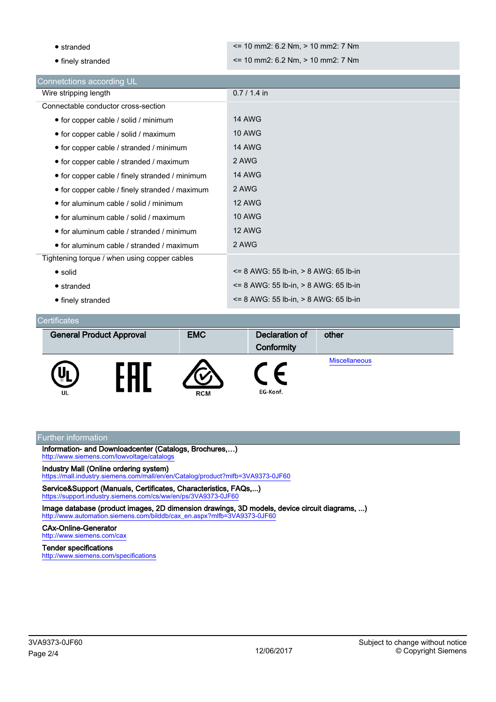| $\bullet$ stranded                             | $\le$ 10 mm2: 6.2 Nm, $>$ 10 mm2: 7 Nm   |
|------------------------------------------------|------------------------------------------|
|                                                |                                          |
| • finely stranded                              | $\le$ 10 mm2: 6.2 Nm, $>$ 10 mm2: 7 Nm   |
| Connetctions according UL                      |                                          |
| Wire stripping length                          | $0.7 / 1.4$ in                           |
| Connectable conductor cross-section            |                                          |
| • for copper cable / solid / minimum           | <b>14 AWG</b>                            |
| • for copper cable / solid / maximum           | <b>10 AWG</b>                            |
| • for copper cable / stranded / minimum        | <b>14 AWG</b>                            |
| • for copper cable / stranded / maximum        | 2 AWG                                    |
| • for copper cable / finely stranded / minimum | <b>14 AWG</b>                            |
| • for copper cable / finely stranded / maximum | 2 AWG                                    |
| • for aluminum cable / solid / minimum         | <b>12 AWG</b>                            |
| • for aluminum cable / solid / maximum         | <b>10 AWG</b>                            |
| • for aluminum cable / stranded / minimum      | <b>12 AWG</b>                            |
| • for aluminum cable / stranded / maximum      | 2 AWG                                    |
| Tightening torque / when using copper cables   |                                          |
| • solid                                        | <= 8 AWG: 55 lb-in, > 8 AWG: 65 lb-in    |
| $\bullet$ stranded                             | $= 8$ AWG: 55 lb-in, $> 8$ AWG: 65 lb-in |
| • finely stranded                              | $= 8$ AWG: 55 lb-in, $> 8$ AWG: 65 lb-in |

#### **Certificates**

| <b>General Product Approval</b> | <b>EMC</b> | <b>Declaration of</b><br>Conformity | other                |
|---------------------------------|------------|-------------------------------------|----------------------|
| UL                              | <b>RCM</b> | EG-Konf.                            | <b>Miscellaneous</b> |

#### Further information

Information- and Downloadcenter (Catalogs, Brochures,…) <http://www.siemens.com/lowvoltage/catalogs>

#### Industry Mall (Online ordering system)

<https://mall.industry.siemens.com/mall/en/en/Catalog/product?mlfb=3VA9373-0JF60>

Service&Support (Manuals, Certificates, Characteristics, FAQs,...) <https://support.industry.siemens.com/cs/ww/en/ps/3VA9373-0JF60>

Image database (product images, 2D dimension drawings, 3D models, device circuit diagrams, ...) [http://www.automation.siemens.com/bilddb/cax\\_en.aspx?mlfb=3VA9373-0JF60](http://www.automation.siemens.com/bilddb/cax_en.aspx?mlfb=3VA9373-0JF60)

### CAx-Online-Generator

<http://www.siemens.com/cax>

#### Tender specifications

<http://www.siemens.com/specifications>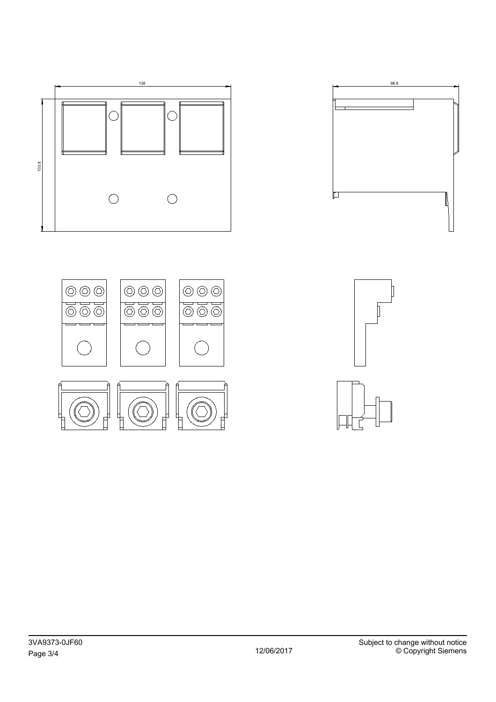